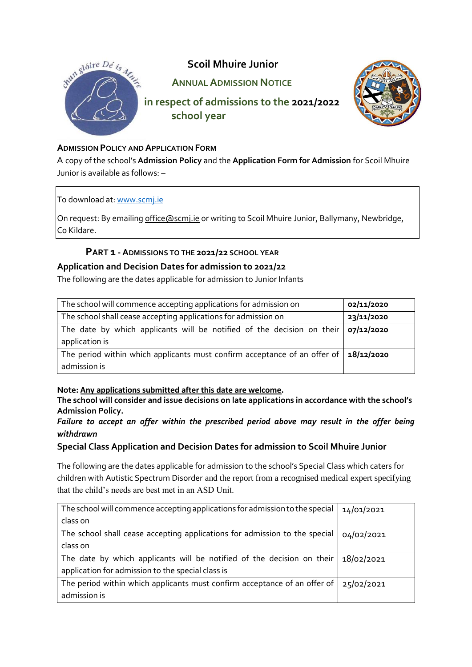

### **ADMISSION POLICY AND APPLICATION FORM**

A copy of the school's **Admission Policy** and the **Application Form for Admission** for Scoil Mhuire Junior is available as follows: –

To download at: [www.scmj.ie](http://www.scmj.ie/)

On request: By emailing [office@scmj.ie](mailto:office@scmj.ie) or writing to Scoil Mhuire Junior, Ballymany, Newbridge, Co Kildare.

## **PART 1 -ADMISSIONS TO THE 2021/22 SCHOOL YEAR**

### **Application and Decision Dates for admission to 2021/22**

The following are the dates applicable for admission to Junior Infants

| The school will commence accepting applications for admission on                                         | 02/11/2020 |
|----------------------------------------------------------------------------------------------------------|------------|
| The school shall cease accepting applications for admission on                                           | 23/11/2020 |
| The date by which applicants will be notified of the decision on their $\log$ /12/2020<br>application is |            |
| The period within which applicants must confirm acceptance of an offer of                                | 18/12/2020 |
| admission is                                                                                             |            |

### **Note: Any applications submitted after this date are welcome.**

**The school will consider and issue decisions on late applications in accordance with the school's Admission Policy.**

## *Failure to accept an offer within the prescribed period above may result in the offer being withdrawn*

### **Special Class Application and Decision Dates for admission to Scoil Mhuire Junior**

The following are the dates applicable for admission to the school's Special Class which caters for children with Autistic Spectrum Disorder and the report from a recognised medical expert specifying that the child's needs are best met in an ASD Unit.

| The school will commence accepting applications for admission to the special | 14/01/2021 |
|------------------------------------------------------------------------------|------------|
| class on                                                                     |            |
| The school shall cease accepting applications for admission to the special   | 04/02/2021 |
| class on                                                                     |            |
| The date by which applicants will be notified of the decision on their       | 18/02/2021 |
| application for admission to the special class is                            |            |
| The period within which applicants must confirm acceptance of an offer of    | 25/02/2021 |
| admission is                                                                 |            |